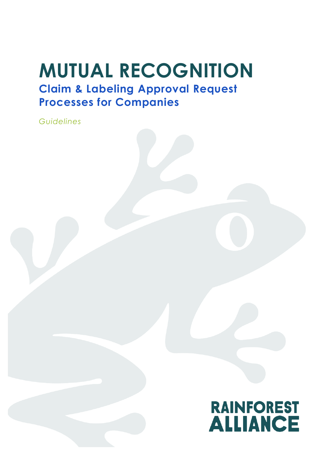# **MUTUAL RECOGNITION Claim & Labeling Approval Request**

## **Processes for Companies**

*Guidelines*

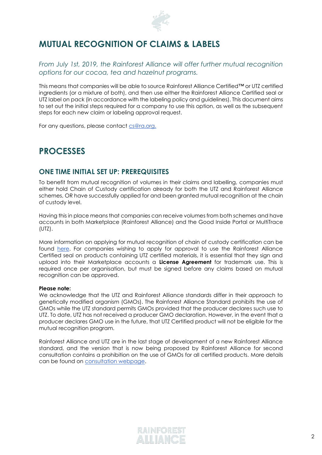

## **MUTUAL RECOGNITION OF CLAIMS & LABELS**

*From July 1st, 2019, the Rainforest Alliance will offer further mutual recognition options for our cocoa, tea and hazelnut programs.* 

This means that companies will be able to source Rainforest Alliance Certified™ or UTZ certified ingredients (or a mixture of both), and then use either the Rainforest Alliance Certified seal or UTZ label on pack (in accordance with the labeling policy and guidelines). This document aims to set out the initial steps required for a company to use this option, as well as the subsequent steps for each new claim or labeling approval request.

For any questions, please contact cs@ra.org.

### **PROCESSES**

#### **ONE TIME INITIAL SET UP: PREREQUISITES**

To benefit from mutual recognition of volumes in their claims and labelling, companies must either hold Chain of Custody certification already for both the UTZ and Rainforest Alliance schemes, OR have successfully applied for and been granted mutual recognition at the chain of custody level.

Having this in place means that companies can receive volumes from both schemes and have accounts in both Marketplace (Rainforest Alliance) and the Good Inside Portal or MultiTrace (UTZ).

More information on applying for mutual recognition of chain of custody certification can be found [here.](https://www.rainforest-alliance.org/business/wp-content/uploads/2018/11/Guidelines-for-Mutual-Recognition-Process_for_companies_en-1.pdf) For companies wishing to apply for approval to use the Rainforest Alliance Certified seal on products containing UTZ certified materials, it is essential that they sign and upload into their Marketplace accounts a **License Agreement** for trademark use. This is required once per organisation, but must be signed before any claims based on mutual recognition can be approved.

#### **Please note:**

We acknowledge that the UTZ and Rainforest Alliance standards differ in their approach to genetically modified organism (GMOs). The Rainforest Alliance Standard prohibits the use of GMOs while the UTZ standard permits GMOs provided that the producer declares such use to UTZ. To date, UTZ has not received a producer GMO declaration. However, in the event that a producer declares GMO use in the future, that UTZ Certified product will not be eligible for the mutual recognition program.

Rainforest Alliance and UTZ are in the last stage of development of a new Rainforest Alliance standard, and the version that is now being proposed by Rainforest Alliance for second consultation contains a prohibition on the use of GMOs for all certified products. More details can be found on [consultation webpage.](https://www.rainforest-alliance.org/business/solutions/certification/agriculture/2020-certification-program/sustainable-agriculture/?s_src=ADE19FX&s_subsrc=1906aorgupdate&autologin=true)